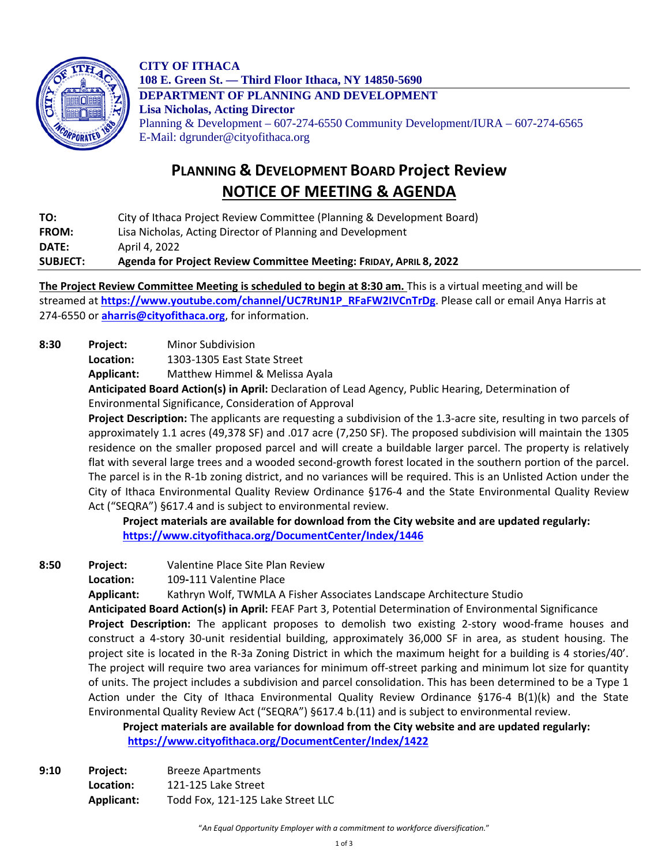

**CITY OF ITHACA 108 E. Green St. — Third Floor Ithaca, NY 14850-5690 DEPARTMENT OF PLANNING AND DEVELOPMENT Lisa Nicholas, Acting Director** Planning & Development – 607-274-6550 Community Development/IURA – 607-274-6565 E-Mail: dgrunder@cityofithaca.org

## **PLANNING & DEVELOPMENT BOARD Project Review NOTICE OF MEETING & AGENDA**

**TO:** City of Ithaca Project Review Committee (Planning & Development Board) **FROM:** Lisa Nicholas, Acting Director of Planning and Development **DATE:** April 4, 2022

**SUBJECT: Agenda for Project Review Committee Meeting: FRIDAY, APRIL 8, 2022**

**The Project Review Committee Meeting is scheduled to begin at 8:30 am.** This is a virtual meeting and will be streamed at **[https://www.youtube.com/channel/UC7RtJN1P\\_RFaFW2IVCnTrDg](https://www.youtube.com/channel/UC7RtJN1P_RFaFW2IVCnTrDg)**. Please call or email Anya Harris at 274-6550 or **[aharris@cityofithaca.org](mailto:aharris@cityofithaca.org)**, for information.

**8:30 Project:** Minor Subdivision

**Location:** 1303-1305 East State Street

**Applicant:** Matthew Himmel & Melissa Ayala

**Anticipated Board Action(s) in April:** Declaration of Lead Agency, Public Hearing, Determination of Environmental Significance, Consideration of Approval

**Project Description:** The applicants are requesting a subdivision of the 1.3-acre site, resulting in two parcels of approximately 1.1 acres (49,378 SF) and .017 acre (7,250 SF). The proposed subdivision will maintain the 1305 residence on the smaller proposed parcel and will create a buildable larger parcel. The property is relatively flat with several large trees and a wooded second-growth forest located in the southern portion of the parcel. The parcel is in the R-1b zoning district, and no variances will be required. This is an Unlisted Action under the City of Ithaca Environmental Quality Review Ordinance §176-4 and the State Environmental Quality Review Act ("SEQRA") §617.4 and is subject to environmental review.

**Project materials are available for download from the City website and are updated regularly: <https://www.cityofithaca.org/DocumentCenter/Index/1446>**

- **8:50 Project:** Valentine Place Site Plan Review
	- **Location:** 109**-**111 Valentine Place

**Applicant:** Kathryn Wolf, TWMLA A Fisher Associates Landscape Architecture Studio

**Anticipated Board Action(s) in April:** FEAF Part 3, Potential Determination of Environmental Significance **Project Description:** The applicant proposes to demolish two existing 2-story wood-frame houses and construct a 4-story 30-unit residential building, approximately 36,000 SF in area, as student housing. The project site is located in the R-3a Zoning District in which the maximum height for a building is 4 stories/40'. The project will require two area variances for minimum off-street parking and minimum lot size for quantity of units. The project includes a subdivision and parcel consolidation. This has been determined to be a Type 1 Action under the City of Ithaca Environmental Quality Review Ordinance §176-4 B(1)(k) and the State Environmental Quality Review Act ("SEQRA") §617.4 b.(11) and is subject to environmental review.

**Project materials are available for download from the City website and are updated regularly: <https://www.cityofithaca.org/DocumentCenter/Index/1422>**

**9:10 Project:** Breeze Apartments **Location:** 121-125 Lake Street **Applicant:** Todd Fox, 121-125 Lake Street LLC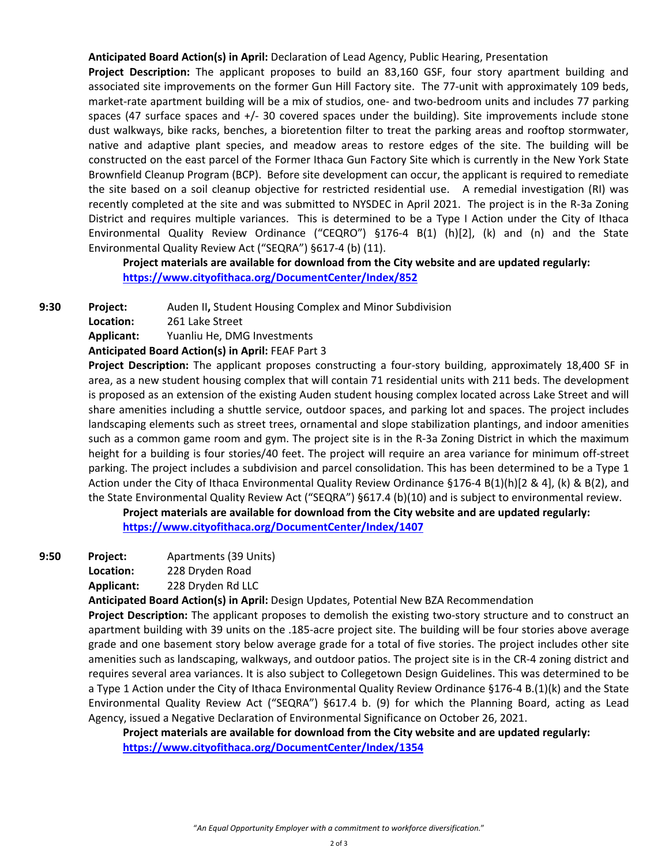**Anticipated Board Action(s) in April:** Declaration of Lead Agency, Public Hearing, Presentation

**Project Description:** The applicant proposes to build an 83,160 GSF, four story apartment building and associated site improvements on the former Gun Hill Factory site. The 77-unit with approximately 109 beds, market-rate apartment building will be a mix of studios, one- and two-bedroom units and includes 77 parking spaces (47 surface spaces and  $+/-$  30 covered spaces under the building). Site improvements include stone dust walkways, bike racks, benches, a bioretention filter to treat the parking areas and rooftop stormwater, native and adaptive plant species, and meadow areas to restore edges of the site. The building will be constructed on the east parcel of the Former Ithaca Gun Factory Site which is currently in the New York State Brownfield Cleanup Program (BCP). Before site development can occur, the applicant is required to remediate the site based on a soil cleanup objective for restricted residential use. A remedial investigation (RI) was recently completed at the site and was submitted to NYSDEC in April 2021. The project is in the R-3a Zoning District and requires multiple variances. This is determined to be a Type I Action under the City of Ithaca Environmental Quality Review Ordinance ("CEQRO") §176-4 B(1) (h)[2], (k) and (n) and the State Environmental Quality Review Act ("SEQRA") §617-4 (b) (11).

**Project materials are available for download from the City website and are updated regularly: <https://www.cityofithaca.org/DocumentCenter/Index/852>**

**9:30 Project:** Auden II**,** Student Housing Complex and Minor Subdivision

**Location:** 261 Lake Street

**Applicant:** Yuanliu He, DMG Investments

**Anticipated Board Action(s) in April:** FEAF Part 3

**Project Description:** The applicant proposes constructing a four-story building, approximately 18,400 SF in area, as a new student housing complex that will contain 71 residential units with 211 beds. The development is proposed as an extension of the existing Auden student housing complex located across Lake Street and will share amenities including a shuttle service, outdoor spaces, and parking lot and spaces. The project includes landscaping elements such as street trees, ornamental and slope stabilization plantings, and indoor amenities such as a common game room and gym. The project site is in the R-3a Zoning District in which the maximum height for a building is four stories/40 feet. The project will require an area variance for minimum off-street parking. The project includes a subdivision and parcel consolidation. This has been determined to be a Type 1 Action under the City of Ithaca Environmental Quality Review Ordinance §176-4 B(1)(h)[2 & 4], (k) & B(2), and the State Environmental Quality Review Act ("SEQRA") §617.4 (b)(10) and is subject to environmental review.

**Project materials are available for download from the City website and are updated regularly: <https://www.cityofithaca.org/DocumentCenter/Index/1407>**

**9:50 Project:** Apartments (39 Units)

**Location:** 228 Dryden Road

**Applicant:** 228 Dryden Rd LLC

**Anticipated Board Action(s) in April:** Design Updates, Potential New BZA Recommendation

**Project Description:** The applicant proposes to demolish the existing two-story structure and to construct an apartment building with 39 units on the .185-acre project site. The building will be four stories above average grade and one basement story below average grade for a total of five stories. The project includes other site amenities such as landscaping, walkways, and outdoor patios. The project site is in the CR-4 zoning district and requires several area variances. It is also subject to Collegetown Design Guidelines. This was determined to be a Type 1 Action under the City of Ithaca Environmental Quality Review Ordinance §176-4 B.(1)(k) and the State Environmental Quality Review Act ("SEQRA") §617.4 b. (9) for which the Planning Board, acting as Lead Agency, issued a Negative Declaration of Environmental Significance on October 26, 2021.

**Project materials are available for download from the City website and are updated regularly: <https://www.cityofithaca.org/DocumentCenter/Index/1354>**